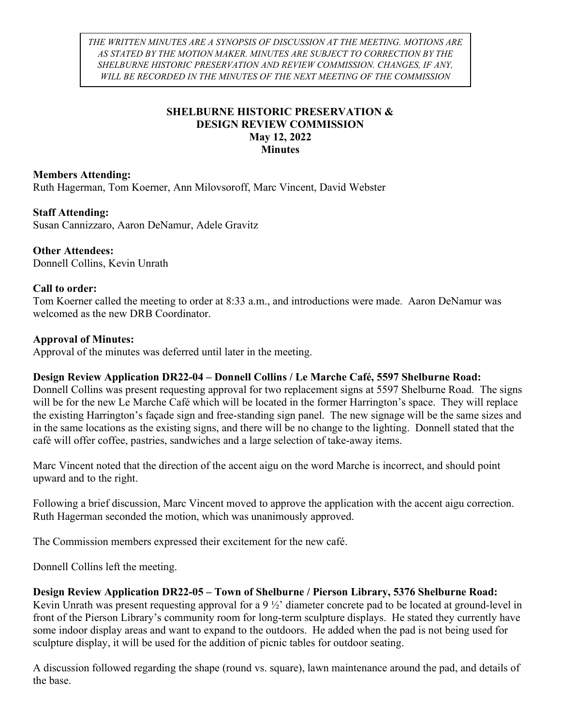THE WRITTEN MINUTES ARE A SYNOPSIS OF DISCUSSION AT THE MEETING. MOTIONS ARE AS STATED BY THE MOTION MAKER. MINUTES ARE SUBJECT TO CORRECTION BY THE SHELBURNE HISTORIC PRESERVATION AND REVIEW COMMISSION. CHANGES, IF ANY, WILL BE RECORDED IN THE MINUTES OF THE NEXT MEETING OF THE COMMISSION

## SHELBURNE HISTORIC PRESERVATION & DESIGN REVIEW COMMISSION May 12, 2022 **Minutes**

## Members Attending:

Ruth Hagerman, Tom Koerner, Ann Milovsoroff, Marc Vincent, David Webster

#### Staff Attending:

Susan Cannizzaro, Aaron DeNamur, Adele Gravitz

# Other Attendees:

Donnell Collins, Kevin Unrath

#### Call to order:

Tom Koerner called the meeting to order at 8:33 a.m., and introductions were made. Aaron DeNamur was welcomed as the new DRB Coordinator.

#### Approval of Minutes:

Approval of the minutes was deferred until later in the meeting.

#### Design Review Application DR22-04 – Donnell Collins / Le Marche Café, 5597 Shelburne Road:

Donnell Collins was present requesting approval for two replacement signs at 5597 Shelburne Road. The signs will be for the new Le Marche Café which will be located in the former Harrington's space. They will replace the existing Harrington's façade sign and free-standing sign panel. The new signage will be the same sizes and in the same locations as the existing signs, and there will be no change to the lighting. Donnell stated that the café will offer coffee, pastries, sandwiches and a large selection of take-away items.

Marc Vincent noted that the direction of the accent aigu on the word Marche is incorrect, and should point upward and to the right.

Following a brief discussion, Marc Vincent moved to approve the application with the accent aigu correction. Ruth Hagerman seconded the motion, which was unanimously approved.

The Commission members expressed their excitement for the new café.

Donnell Collins left the meeting.

Design Review Application DR22-05 – Town of Shelburne / Pierson Library, 5376 Shelburne Road: Kevin Unrath was present requesting approval for a 9 ½' diameter concrete pad to be located at ground-level in front of the Pierson Library's community room for long-term sculpture displays. He stated they currently have some indoor display areas and want to expand to the outdoors. He added when the pad is not being used for sculpture display, it will be used for the addition of picnic tables for outdoor seating.

A discussion followed regarding the shape (round vs. square), lawn maintenance around the pad, and details of the base.